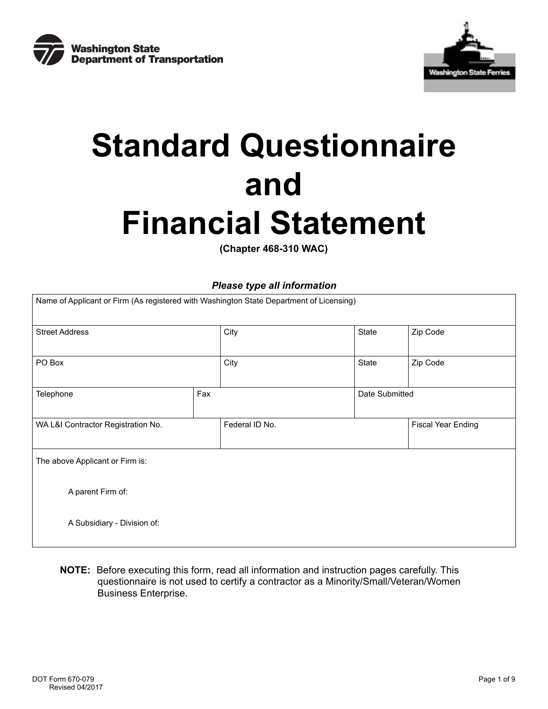



# **Standard Questionnaire and Financial Statement**

**(Chapter 468-310 WAC)** 

## *Please type all information*

| Name of Applicant or Firm (As registered with Washington State Department of Licensing) |                |  |                |                           |  |
|-----------------------------------------------------------------------------------------|----------------|--|----------------|---------------------------|--|
| <b>Street Address</b>                                                                   | City           |  | State          | Zip Code                  |  |
| PO Box                                                                                  | City           |  | State          | Zip Code                  |  |
| Telephone                                                                               | Fax            |  | Date Submitted |                           |  |
| WA L&I Contractor Registration No.                                                      | Federal ID No. |  |                | <b>Fiscal Year Ending</b> |  |
| The above Applicant or Firm is:                                                         |                |  |                |                           |  |
| A parent Firm of:                                                                       |                |  |                |                           |  |
| A Subsidiary - Division of:                                                             |                |  |                |                           |  |

**NOTE:** Before executing this form, read all information and instruction pages carefully. This questionnaire is not used to certify a contractor as a Minority/Small/Veteran/Women Business Enterprise.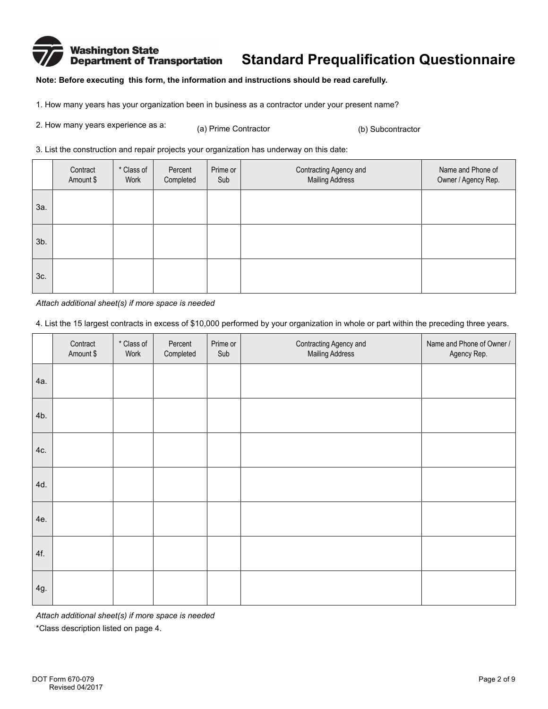## Washington State<br>Department of Transportation **Standard Prequalification Questionnaire**

**Note: Before executing this form, the information and instructions should be read carefully.** 

1. How many years has your organization been in business as a contractor under your present name?

| 2. How many years experience as a: | (a) Prime Contractor | (b) Subcontractor |
|------------------------------------|----------------------|-------------------|
|------------------------------------|----------------------|-------------------|

3. List the construction and repair projects your organization has underway on this date:

|     | Contract<br>Amount \$ | * Class of<br>Work | Percent<br>Completed | Prime or<br>Sub | Contracting Agency and<br><b>Mailing Address</b> | Name and Phone of<br>Owner / Agency Rep. |
|-----|-----------------------|--------------------|----------------------|-----------------|--------------------------------------------------|------------------------------------------|
| За. |                       |                    |                      |                 |                                                  |                                          |
| 3b. |                       |                    |                      |                 |                                                  |                                          |
| 3c. |                       |                    |                      |                 |                                                  |                                          |

*Attach additional sheet(s) if more space is needed* 

4. List the 15 largest contracts in excess of \$10,000 performed by your organization in whole or part within the preceding three years.

|     | Contract<br>Amount \$ | * Class of<br>Work | Percent<br>Completed | Prime or<br>Sub | Contracting Agency and<br>Mailing Address | Name and Phone of Owner /<br>Agency Rep. |
|-----|-----------------------|--------------------|----------------------|-----------------|-------------------------------------------|------------------------------------------|
| 4a. |                       |                    |                      |                 |                                           |                                          |
| 4b. |                       |                    |                      |                 |                                           |                                          |
| 4c. |                       |                    |                      |                 |                                           |                                          |
| 4d. |                       |                    |                      |                 |                                           |                                          |
| 4e. |                       |                    |                      |                 |                                           |                                          |
| 4f. |                       |                    |                      |                 |                                           |                                          |
| 4g. |                       |                    |                      |                 |                                           |                                          |

*Attach additional sheet(s) if more space is needed* 

\*Class description listed on page 4.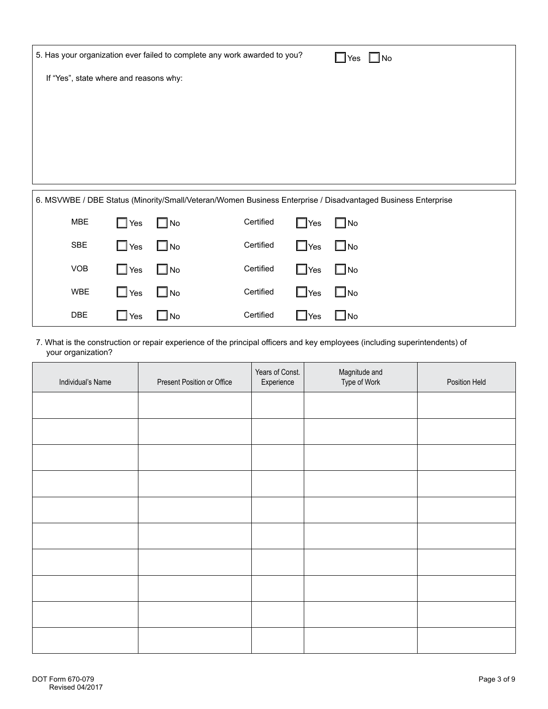|                                        |            |                | 5. Has your organization ever failed to complete any work awarded to you?                                    |            | $\square$ No<br>Yes |  |
|----------------------------------------|------------|----------------|--------------------------------------------------------------------------------------------------------------|------------|---------------------|--|
| If "Yes", state where and reasons why: |            |                |                                                                                                              |            |                     |  |
|                                        |            |                |                                                                                                              |            |                     |  |
|                                        |            |                |                                                                                                              |            |                     |  |
|                                        |            |                |                                                                                                              |            |                     |  |
|                                        |            |                |                                                                                                              |            |                     |  |
|                                        |            |                | 6. MSVWBE / DBE Status (Minority/Small/Veteran/Women Business Enterprise / Disadvantaged Business Enterprise |            |                     |  |
| <b>MBE</b>                             | $\Box$ Yes | $\square$ No   | Certified                                                                                                    | $\Box$ Yes | $\Box$ No           |  |
| <b>SBE</b>                             | $\Box$ Yes | $\bigsqcup$ No | Certified                                                                                                    | $\Box$ Yes | $\Box$ No           |  |
| <b>VOB</b>                             | $\Box$ Yes | $\bigsqcup$ No | Certified                                                                                                    | $\Box$ Yes | $\Box$ No           |  |
|                                        |            |                |                                                                                                              |            |                     |  |

7. What is the construction or repair experience of the principal officers and key employees (including superintendents) of your organization?

WBE  $\Box$  Yes  $\Box$  No Certified  $\Box$  Yes  $\Box$  No

DBE  $\Box$  Yes  $\Box$  No Certified  $\Box$  Yes  $\Box$  No

| Individual's Name | Present Position or Office | Years of Const.<br>Experience | Magnitude and<br>Type of Work | Position Held |
|-------------------|----------------------------|-------------------------------|-------------------------------|---------------|
|                   |                            |                               |                               |               |
|                   |                            |                               |                               |               |
|                   |                            |                               |                               |               |
|                   |                            |                               |                               |               |
|                   |                            |                               |                               |               |
|                   |                            |                               |                               |               |
|                   |                            |                               |                               |               |
|                   |                            |                               |                               |               |
|                   |                            |                               |                               |               |
|                   |                            |                               |                               |               |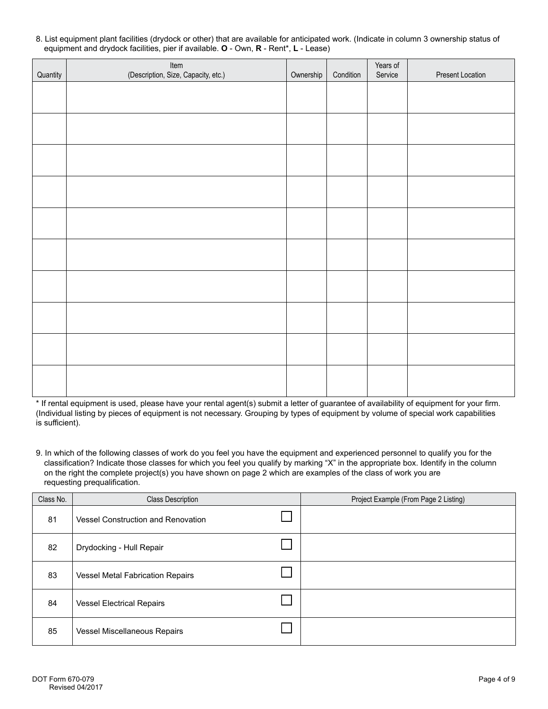| Quantity | Item<br>(Description, Size, Capacity, etc.) | Ownership | Condition | Years of<br>Service | Present Location |
|----------|---------------------------------------------|-----------|-----------|---------------------|------------------|
|          |                                             |           |           |                     |                  |
|          |                                             |           |           |                     |                  |
|          |                                             |           |           |                     |                  |
|          |                                             |           |           |                     |                  |
|          |                                             |           |           |                     |                  |
|          |                                             |           |           |                     |                  |
|          |                                             |           |           |                     |                  |
|          |                                             |           |           |                     |                  |
|          |                                             |           |           |                     |                  |
|          |                                             |           |           |                     |                  |
|          |                                             |           |           |                     |                  |

8. List equipment plant facilities (drydock or other) that are available for anticipated work. (Indicate in column 3 ownership status of equipment and drydock facilities, pier if available. **O** - Own, **R** - Rent\*, **L** - Lease)

\* If rental equipment is used, please have your rental agent(s) submit a letter of guarantee of availability of equipment for your firm. (Individual listing by pieces of equipment is not necessary. Grouping by types of equipment by volume of special work capabilities is sufficient).

9. In which of the following classes of work do you feel you have the equipment and experienced personnel to qualify you for the classification? Indicate those classes for which you feel you qualify by marking "X" in the appropriate box. Identify in the column on the right the complete project(s) you have shown on page 2 which are examples of the class of work you are requesting prequalification.

| Class No. | <b>Class Description</b>                  | Project Example (From Page 2 Listing) |
|-----------|-------------------------------------------|---------------------------------------|
| 81        | <b>Vessel Construction and Renovation</b> |                                       |
| 82        | Drydocking - Hull Repair                  |                                       |
| 83        | <b>Vessel Metal Fabrication Repairs</b>   |                                       |
| 84        | <b>Vessel Electrical Repairs</b>          |                                       |
| 85        | Vessel Miscellaneous Repairs              |                                       |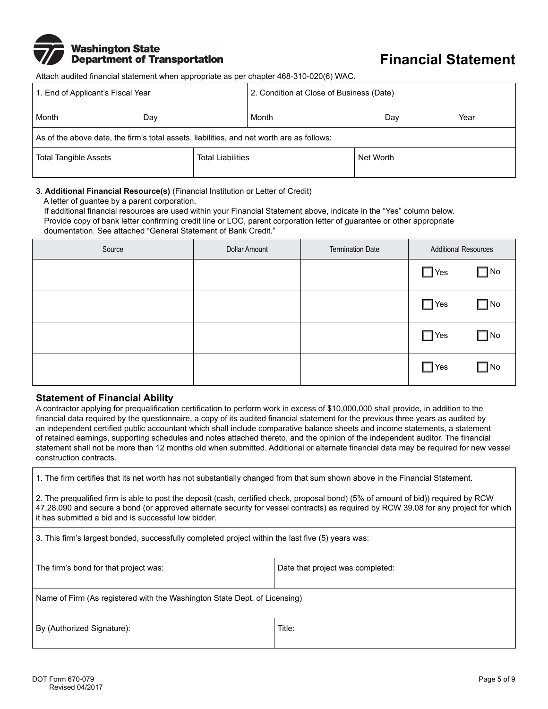

# **Financial Statement**

Attach audited financial statement when appropriate as per chapter 468-310-020(6) WAC.

| 1. End of Applicant's Fiscal Year                                                         |     | 2. Condition at Close of Business (Date) |       |           |      |
|-------------------------------------------------------------------------------------------|-----|------------------------------------------|-------|-----------|------|
| Month                                                                                     | Dav |                                          | Month | Dav       | Year |
| As of the above date, the firm's total assets, liabilities, and net worth are as follows: |     |                                          |       |           |      |
| <b>Total Tangible Assets</b>                                                              |     | <b>Total Liabilities</b>                 |       | Net Worth |      |

#### 3. **Additional Financial Resource(s)** (Financial Institution or Letter of Credit)

A letter of guantee by a parent corporation.

If additional financial resources are used within your Financial Statement above, indicate in the "Yes" column below. Provide copy of bank letter confirming credit line or LOC, parent corporation letter of guarantee or other appropriate doumentation. See attached "General Statement of Bank Credit."

| Source | Dollar Amount | <b>Termination Date</b> | <b>Additional Resources</b> |              |
|--------|---------------|-------------------------|-----------------------------|--------------|
|        |               |                         | $\Box$ Yes                  | $\square$ No |
|        |               |                         | $\Box$ Yes                  | $\square$ No |
|        |               |                         | $\Box$ Yes                  | $\Box$ No    |
|        |               |                         | $\Box$ Yes                  | $\square$ No |

#### **Statement of Financial Ability**

A contractor applying for prequalification certification to perform work in excess of \$10,000,000 shall provide, in addition to the financial data required by the questionnaire, a copy of its audited financial statement for the previous three years as audited by an independent certified public accountant which shall include comparative balance sheets and income statements, a statement of retained earnings, supporting schedules and notes attached thereto, and the opinion of the independent auditor. The financial statement shall not be more than 12 months old when submitted. Additional or alternate financial data may be required for new vessel construction contracts.

1. The firm certifies that its net worth has not substantially changed from that sum shown above in the Financial Statement.

2. The prequalified firm is able to post the deposit (cash, certified check, proposal bond) (5% of amount of bid)) required by RCW 47.28.090 and secure a bond (or approved alternate security for vessel contracts) as required by RCW 39.08 for any project for which it has submitted a bid and is successful low bidder.

3. This firm's largest bonded, successfully completed project within the last five (5) years was:

| The firm's bond for that project was: | Date that project was completed: |
|---------------------------------------|----------------------------------|
| $\sim$ $\sim$ $\sim$                  |                                  |

Name of Firm (As registered with the Washington State Dept. of Licensing)

By (Authorized Signature): Title: Title: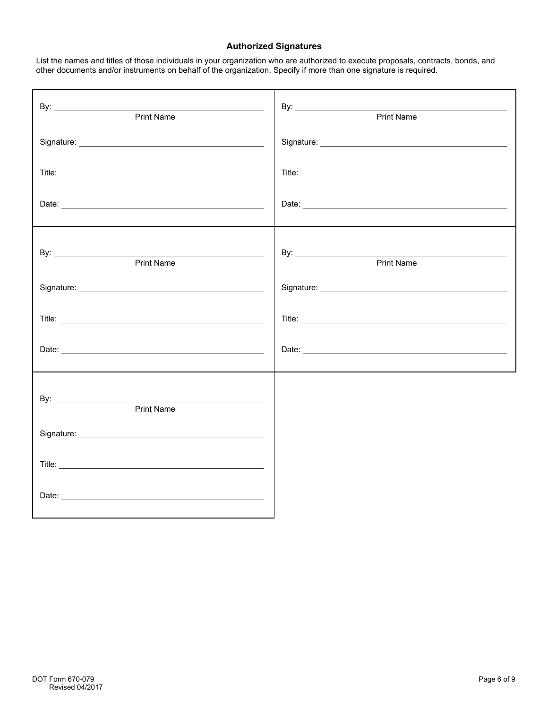## **Authorized Signatures**

List the names and titles of those individuals in your organization who are authorized to execute proposals, contracts, bonds, and other documents and/or instruments on behalf of the organization. Specify if more than one signature is required.

| Print Name        | Print Name        |
|-------------------|-------------------|
|                   |                   |
|                   |                   |
|                   |                   |
| <b>Print Name</b> | <b>Print Name</b> |
|                   |                   |
|                   |                   |
|                   |                   |
| <b>Print Name</b> |                   |
|                   |                   |
|                   |                   |
|                   |                   |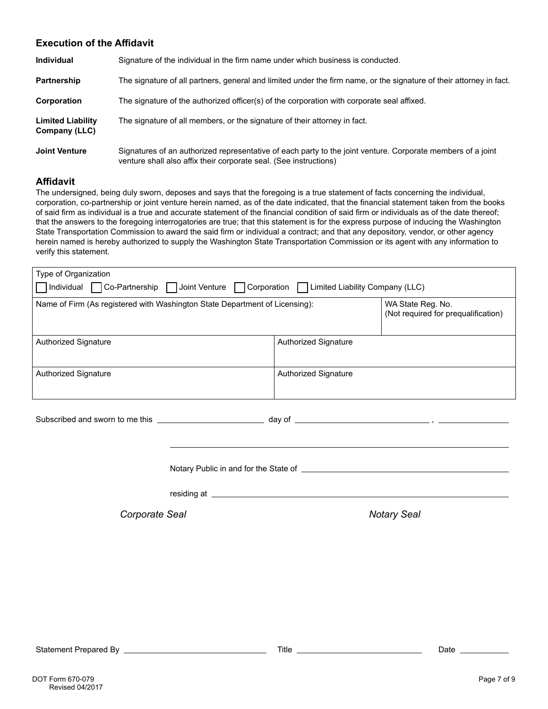### **Execution of the Affidavit**

| <b>Individual</b>                         | Signature of the individual in the firm name under which business is conducted.                                                                                                  |
|-------------------------------------------|----------------------------------------------------------------------------------------------------------------------------------------------------------------------------------|
| Partnership                               | The signature of all partners, general and limited under the firm name, or the signature of their attorney in fact.                                                              |
| Corporation                               | The signature of the authorized officer(s) of the corporation with corporate seal affixed.                                                                                       |
| <b>Limited Liability</b><br>Company (LLC) | The signature of all members, or the signature of their attorney in fact.                                                                                                        |
| <b>Joint Venture</b>                      | Signatures of an authorized representative of each party to the joint venture. Corporate members of a joint<br>venture shall also affix their corporate seal. (See instructions) |

#### **Affidavit**

The undersigned, being duly sworn, deposes and says that the foregoing is a true statement of facts concerning the individual, corporation, co-partnership or joint venture herein named, as of the date indicated, that the financial statement taken from the books of said firm as individual is a true and accurate statement of the financial condition of said firm or individuals as of the date thereof; that the answers to the foregoing interrogatories are true; that this statement is for the express purpose of inducing the Washington State Transportation Commission to award the said firm or individual a contract; and that any depository, vendor, or other agency herein named is hereby authorized to supply the Washington State Transportation Commission or its agent with any information to verify this statement.

| Type of Organization                                                                             |  |  |  |  |  |
|--------------------------------------------------------------------------------------------------|--|--|--|--|--|
| □ Individual □ Co-Partnership □ Joint Venture □ Corporation<br>  Limited Liability Company (LLC) |  |  |  |  |  |
| Name of Firm (As registered with Washington State Department of Licensing):                      |  |  |  |  |  |
| Authorized Signature                                                                             |  |  |  |  |  |
| <b>Authorized Signature</b>                                                                      |  |  |  |  |  |
|                                                                                                  |  |  |  |  |  |

| Subscribed and sworn to me this | dav of |  |
|---------------------------------|--------|--|
|                                 |        |  |

Notary Public in and for the State of

residing at **the contract of the contract of the contract of the contract of the contract of the contract of the contract of the contract of the contract of the contract of the contract of the contract of the contract of t** 

**Corporate Seal** *Corporate* Seal **Notary Seal** 

Subscribed and sworn to me this day of ,

Statement Prepared By Title Date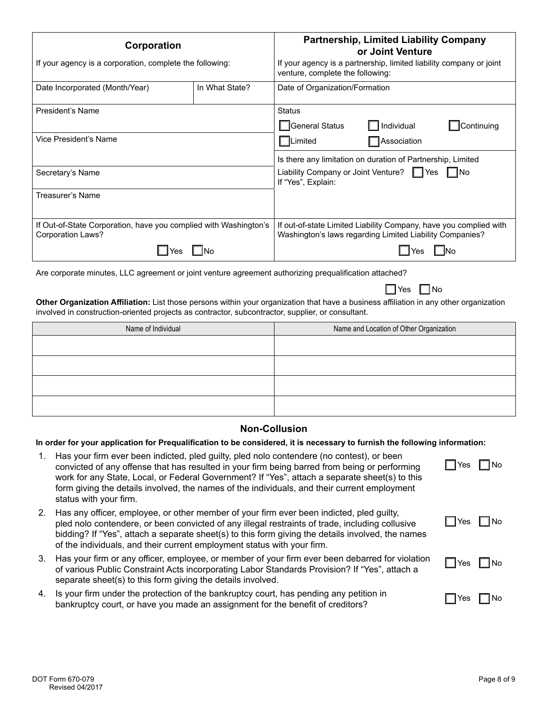| Corporation                                                                           |                | <b>Partnership, Limited Liability Company</b><br>or Joint Venture                                                             |  |  |
|---------------------------------------------------------------------------------------|----------------|-------------------------------------------------------------------------------------------------------------------------------|--|--|
| If your agency is a corporation, complete the following:                              |                | If your agency is a partnership, limited liability company or joint<br>venture, complete the following:                       |  |  |
| Date Incorporated (Month/Year)                                                        | In What State? | Date of Organization/Formation                                                                                                |  |  |
| President's Name                                                                      |                | Status                                                                                                                        |  |  |
|                                                                                       |                | $\Box$ Individual<br>□General Status<br>Continuing                                                                            |  |  |
| Vice President's Name                                                                 |                | Association<br><b>ILimited</b>                                                                                                |  |  |
|                                                                                       |                | Is there any limitation on duration of Partnership, Limited                                                                   |  |  |
| Secretary's Name                                                                      |                | Liability Company or Joint Venture? Ves No<br>If "Yes", Explain:                                                              |  |  |
| Treasurer's Name                                                                      |                |                                                                                                                               |  |  |
|                                                                                       |                |                                                                                                                               |  |  |
| If Out-of-State Corporation, have you complied with Washington's<br>Corporation Laws? |                | If out-of-state Limited Liability Company, have you complied with<br>Washington's laws regarding Limited Liability Companies? |  |  |
|                                                                                       |                |                                                                                                                               |  |  |

Are corporate minutes, LLC agreement or joint venture agreement authorizing prequalification attached?

**Other Organization Affiliation:** List those persons within your organization that have a business affiliation in any other organization involved in construction-oriented projects as contractor, subcontractor, supplier, or consultant.

| Name of Individual | Name and Location of Other Organization |
|--------------------|-----------------------------------------|
|                    |                                         |
|                    |                                         |
|                    |                                         |
|                    |                                         |

### **Non-Collusion**

**In order for your application for Prequalification to be considered, it is necessary to furnish the following information:**

| 1.            | Has your firm ever been indicted, pled guilty, pled nolo contendere (no contest), or been<br>convicted of any offense that has resulted in your firm being barred from being or performing<br>work for any State, Local, or Federal Government? If "Yes", attach a separate sheet(s) to this<br>form giving the details involved, the names of the individuals, and their current employment<br>status with your firm. | $\Box$ Yes $\Box$ No |  |
|---------------|------------------------------------------------------------------------------------------------------------------------------------------------------------------------------------------------------------------------------------------------------------------------------------------------------------------------------------------------------------------------------------------------------------------------|----------------------|--|
| <sup>2.</sup> | Has any officer, employee, or other member of your firm ever been indicted, pled guilty,<br>pled nolo contendere, or been convicted of any illegal restraints of trade, including collusive<br>bidding? If "Yes", attach a separate sheet(s) to this form giving the details involved, the names<br>of the individuals, and their current employment status with your firm.                                            | $\Box$ Yes $\Box$ No |  |
|               | 3. Has your firm or any officer, employee, or member of your firm ever been debarred for violation<br>of various Public Constraint Acts incorporating Labor Standards Provision? If "Yes", attach a<br>separate sheet(s) to this form giving the details involved.                                                                                                                                                     | $\Box$ Yes $\Box$ No |  |
|               | 4. Is your firm under the protection of the bankruptcy court, has pending any petition in<br>bankruptcy court, or have you made an assignment for the benefit of creditors?                                                                                                                                                                                                                                            | l INo<br>IIYes       |  |

 $\Box$  Yes  $\Box$  No